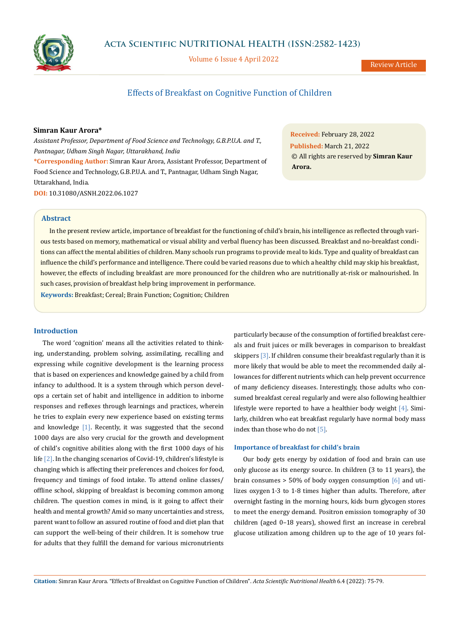

**Acta Scientific NUTRITIONAL HEALTH (ISSN:2582-1423)**

Volume 6 Issue 4 April 2022

# Effects of Breakfast on Cognitive Function of Children

# **Simran Kaur Arora\***

*Assistant Professor, Department of Food Science and Technology, G.B.P.U.A. and T., Pantnagar, Udham Singh Nagar, Uttarakhand, India* **\*Corresponding Author:** Simran Kaur Arora, Assistant Professor, Department of Food Science and Technology, G.B.P.U.A. and T., Pantnagar, Udham Singh Nagar, Uttarakhand, India. **DOI:** [10.31080/ASNH.2022.06.1027](https://actascientific.com/ASNH/pdf/ASNH-06-1027.pdf)

**Received:** February 28, 2022 **Published:** March 21, 2022 © All rights are reserved by **Simran Kaur Arora.**

# **Abstract**

In the present review article, importance of breakfast for the functioning of child's brain, his intelligence as reflected through various tests based on memory, mathematical or visual ability and verbal fluency has been discussed. Breakfast and no-breakfast conditions can affect the mental abilities of children. Many schools run programs to provide meal to kids. Type and quality of breakfast can influence the child's performance and intelligence. There could be varied reasons due to which a healthy child may skip his breakfast, however, the effects of including breakfast are more pronounced for the children who are nutritionally at-risk or malnourished. In such cases, provision of breakfast help bring improvement in performance.

**Keywords:** Breakfast; Cereal; Brain Function; Cognition; Children

# **Introduction**

The word 'cognition' means all the activities related to thinking, understanding, problem solving, assimilating, recalling and expressing while cognitive development is the learning process that is based on experiences and knowledge gained by a child from infancy to adulthood. It is a system through which person develops a certain set of habit and intelligence in addition to inborne responses and reflexes through learnings and practices, wherein he tries to explain every new experience based on existing terms and knowledge [1]. Recently, it was suggested that the second 1000 days are also very crucial for the growth and development of child's cognitive abilities along with the first 1000 days of his life [2]. In the changing scenarios of Covid-19, children's lifestyle is changing which is affecting their preferences and choices for food, frequency and timings of food intake. To attend online classes/ offline school, skipping of breakfast is becoming common among children. The question comes in mind, is it going to affect their health and mental growth? Amid so many uncertainties and stress, parent want to follow an assured routine of food and diet plan that can support the well-being of their children. It is somehow true for adults that they fulfill the demand for various micronutrients particularly because of the consumption of fortified breakfast cereals and fruit juices or milk beverages in comparison to breakfast skippers [3]. If children consume their breakfast regularly than it is more likely that would be able to meet the recommended daily allowances for different nutrients which can help prevent occurrence of many deficiency diseases. Interestingly, those adults who consumed breakfast cereal regularly and were also following healthier lifestyle were reported to have a healthier body weight [4]. Similarly, children who eat breakfast regularly have normal body mass index than those who do not [5].

## **Importance of breakfast for child's brain**

Our body gets energy by oxidation of food and brain can use only glucose as its energy source. In children (3 to 11 years), the brain consumes  $> 50\%$  of body oxygen consumption  $\lceil 6 \rceil$  and utilizes oxygen 1·3 to 1·8 times higher than adults. Therefore, after overnight fasting in the morning hours, kids burn glycogen stores to meet the energy demand. Positron emission tomography of 30 children (aged 0–18 years), showed first an increase in cerebral glucose utilization among children up to the age of 10 years fol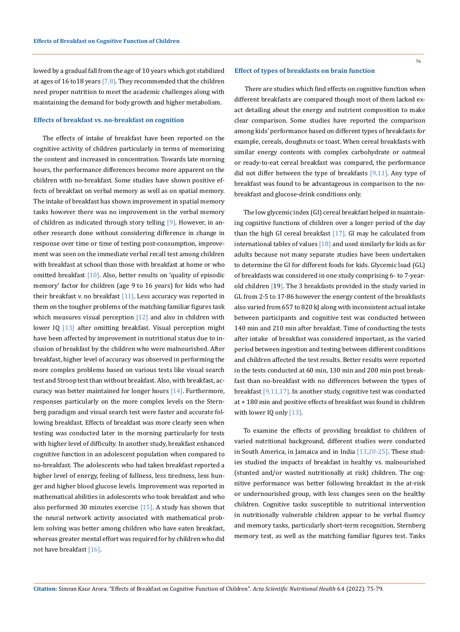lowed by a gradual fall from the age of 10 years which got stabilized at ages of 16 to 18 years  $[7,8]$ . They recommended that the children need proper nutrition to meet the academic challenges along with maintaining the demand for body growth and higher metabolism.

### **Effects of breakfast vs. no-breakfast on cognition**

The effects of intake of breakfast have been reported on the cognitive activity of children particularly in terms of memorizing the content and increased in concentration. Towards late morning hours, the performance differences become more apparent on the children with no-breakfast. Some studies have shown positive effects of breakfast on verbal memory as well as on spatial memory. The intake of breakfast has shown improvement in spatial memory tasks however there was no improvement in the verbal memory of children as indicated through story telling  $[9]$ . However, in another research done without considering difference in change in response over time or time of testing post-consumption, improvement was seen on the immediate verbal recall test among children with breakfast at school than those with breakfast at home or who omitted breakfast [10]. Also, better results on 'quality of episodic memory' factor for children (age 9 to 16 years) for kids who had their breakfast v. no breakfast [11]. Less accuracy was reported in them on the tougher problems of the matching familiar figures task which measures visual perception  $[12]$  and also in children with lower IQ [13] after omitting breakfast. Visual perception might have been affected by improvement in nutritional status due to inclusion of breakfast by the children who were malnourished. After breakfast, higher level of accuracy was observed in performing the more complex problems based on various tests like visual search test and Stroop test than without breakfast. Also, with breakfast, accuracy was better maintained for longer hours  $[14]$ . Furthermore, responses particularly on the more complex levels on the Sternberg paradigm and visual search test were faster and accurate following breakfast. Effects of breakfast was more clearly seen when testing was conducted later in the morning particularly for tests with higher level of difficulty. In another study, breakfast enhanced cognitive function in an adolescent population when compared to no-breakfast. The adolescents who had taken breakfast reported a higher level of energy, feeling of fullness, less tiredness, less hunger and higher blood glucose levels. Improvement was reported in mathematical abilities in adolescents who took breakfast and who also performed 30 minutes exercise  $[15]$ . A study has shown that the neural network activity associated with mathematical problem solving was better among children who have eaten breakfast, whereas greater mental effort was required for by children who did not have breakfast [16].

#### **Effect of types of breakfasts on brain function**

 There are studies which find effects on cognitive function when different breakfasts are compared though most of them lacked exact detailing about the energy and nutrient composition to make clear comparison. Some studies have reported the comparison among kids' performance based on different types of breakfasts for example, cereals, doughnuts or toast. When cereal breakfasts with similar energy contents with complex carbohydrate or oatmeal or ready-to-eat cereal breakfast was compared, the performance did not differ between the type of breakfasts [9,11]. Any type of breakfast was found to be advantageous in comparison to the nobreakfast and glucose-drink conditions only.

The low glycemic index (GI) cereal breakfast helped in maintaining cognitive functions of children over a longer period of the day than the high GI cereal breakfast [17]. GI may be calculated from international tables of values  $[18]$  and used similarly for kids as for adults because not many separate studies have been undertaken to determine the GI for different foods for kids. Glycemic load (GL) of breakfasts was considered in one study comprising 6- to 7-yearold children [19]. The 3 breakfasts provided in the study varied in GL from 2·5 to 17·86 however the energy content of the breakfasts also varied from 657 to 820 kJ along with inconsistent actual intake between participants and cognitive test was conducted between 140 min and 210 min after breakfast. Time of conducting the tests after intake of breakfast was considered important, as the varied period between ingestion and testing between different conditions and children affected the test results. Better results were reported in the tests conducted at 60 min, 130 min and 200 min post breakfast than no-breakfast with no differences between the types of breakfast [9,11,17]. In another study, cognitive test was conducted at + 180 min and positive effects of breakfast was found in children with lower IQ only [13].

To examine the effects of providing breakfast to children of varied nutritional background, different studies were conducted in South America, in Jamaica and in India [13,20-25]. These studies studied the impacts of breakfast in healthy vs. malnourished (stunted and/or wasted nutritionally at risk) children. The cognitive performance was better following breakfast in the at-risk or undernourished group, with less changes seen on the healthy children. Cognitive tasks susceptible to nutritional intervention in nutritionally vulnerable children appear to be verbal fluency and memory tasks, particularly short-term recognition, Sternberg memory test, as well as the matching familiar figures test. Tasks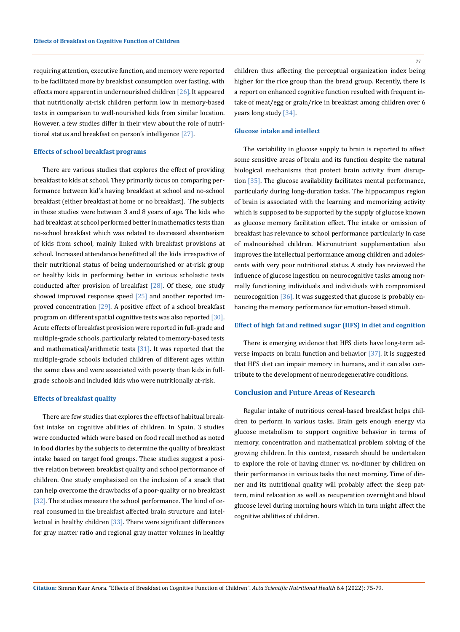requiring attention, executive function, and memory were reported to be facilitated more by breakfast consumption over fasting, with effects more apparent in undernourished children  $[26]$ . It appeared that nutritionally at-risk children perform low in memory-based tests in comparison to well-nourished kids from similar location. However, a few studies differ in their view about the role of nutritional status and breakfast on person's intelligence [27].

#### **Effects of school breakfast programs**

There are various studies that explores the effect of providing breakfast to kids at school. They primarily focus on comparing performance between kid's having breakfast at school and no-school breakfast (either breakfast at home or no breakfast). The subjects in these studies were between 3 and 8 years of age. The kids who had breakfast at school performed better in mathematics tests than no-school breakfast which was related to decreased absenteeism of kids from school, mainly linked with breakfast provisions at school. Increased attendance benefitted all the kids irrespective of their nutritional status of being undernourished or at-risk group or healthy kids in performing better in various scholastic tests conducted after provision of breakfast  $[28]$ . Of these, one study showed improved response speed  $[25]$  and another reported improved concentration  $[29]$ . A positive effect of a school breakfast program on different spatial cognitive tests was also reported [30]. Acute effects of breakfast provision were reported in full-grade and multiple-grade schools, particularly related to memory-based tests and mathematical/arithmetic tests  $[31]$ . It was reported that the multiple-grade schools included children of different ages within the same class and were associated with poverty than kids in fullgrade schools and included kids who were nutritionally at-risk.

# **Effects of breakfast quality**

There are few studies that explores the effects of habitual breakfast intake on cognitive abilities of children. In Spain, 3 studies were conducted which were based on food recall method as noted in food diaries by the subjects to determine the quality of breakfast intake based on target food groups. These studies suggest a positive relation between breakfast quality and school performance of children. One study emphasized on the inclusion of a snack that can help overcome the drawbacks of a poor-quality or no breakfast [32]. The studies measure the school performance. The kind of cereal consumed in the breakfast affected brain structure and intellectual in healthy children  $[33]$ . There were significant differences for gray matter ratio and regional gray matter volumes in healthy

children thus affecting the perceptual organization index being higher for the rice group than the bread group. Recently, there is a report on enhanced cognitive function resulted with frequent intake of meat/egg or grain/rice in breakfast among children over 6 years long study [34].

# **Glucose intake and intellect**

The variability in glucose supply to brain is reported to affect some sensitive areas of brain and its function despite the natural biological mechanisms that protect brain activity from disruption [35]. The glucose availability facilitates mental performance, particularly during long-duration tasks. The hippocampus region of brain is associated with the learning and memorizing activity which is supposed to be supported by the supply of glucose known as glucose memory facilitation effect. The intake or omission of breakfast has relevance to school performance particularly in case of malnourished children. Micronutrient supplementation also improves the intellectual performance among children and adolescents with very poor nutritional status. A study has reviewed the influence of glucose ingestion on neurocognitive tasks among normally functioning individuals and individuals with compromised neurocognition [36]. It was suggested that glucose is probably enhancing the memory performance for emotion-based stimuli.

### **Effect of high fat and refined sugar (HFS) in diet and cognition**

There is emerging evidence that HFS diets have long-term adverse impacts on brain function and behavior [37]. It is suggested that HFS diet can impair memory in humans, and it can also contribute to the development of neurodegenerative conditions.

# **Conclusion and Future Areas of Research**

Regular intake of nutritious cereal-based breakfast helps children to perform in various tasks. Brain gets enough energy via glucose metabolism to support cognitive behavior in terms of memory, concentration and mathematical problem solving of the growing children. In this context, research should be undertaken to explore the role of having dinner vs. no-dinner by children on their performance in various tasks the next morning. Time of dinner and its nutritional quality will probably affect the sleep pattern, mind relaxation as well as recuperation overnight and blood glucose level during morning hours which in turn might affect the cognitive abilities of children.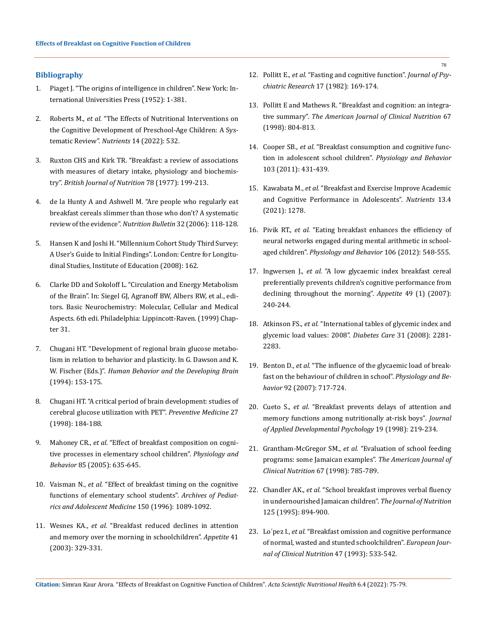# **Bibliography**

- 1. [Piaget J. "The origins of intelligence in children". New York: In](https://psycnet.apa.org/record/2007-10742-000)[ternational Universities Press \(1952\): 1-381.](https://psycnet.apa.org/record/2007-10742-000)
- 2. Roberts M., *et al.* ["The Effects of Nutritional Interventions on](https://www.researchgate.net/publication/358128594_The_Effects_of_Nutritional_Interventions_on_the_Cognitive_Development_of_Preschool-Age_Children_A_Systematic_Review)  [the Cognitive Development of Preschool-Age Children: A Sys](https://www.researchgate.net/publication/358128594_The_Effects_of_Nutritional_Interventions_on_the_Cognitive_Development_of_Preschool-Age_Children_A_Systematic_Review)[tematic Review".](https://www.researchgate.net/publication/358128594_The_Effects_of_Nutritional_Interventions_on_the_Cognitive_Development_of_Preschool-Age_Children_A_Systematic_Review) *Nutrients* 14 (2022): 532.
- 3. [Ruxton CHS and Kirk TR. "Breakfast: a review of associations](https://pubmed.ncbi.nlm.nih.gov/9301411/)  [with measures of dietary intake, physiology and biochemis](https://pubmed.ncbi.nlm.nih.gov/9301411/)try". *[British Journal of Nutrition](https://pubmed.ncbi.nlm.nih.gov/9301411/)* 78 (1977): 199-213.
- 4. [de la Hunty A and Ashwell M. "Are people who regularly eat](https://www.researchgate.net/publication/229455626_Are_people_who_regularly_eat_breakfast_slimmer_than_those_who_don%27t_A_systematic_review_of_the_evidence)  [breakfast cereals slimmer than those who don't? A systematic](https://www.researchgate.net/publication/229455626_Are_people_who_regularly_eat_breakfast_slimmer_than_those_who_don%27t_A_systematic_review_of_the_evidence)  [review of the evidence".](https://www.researchgate.net/publication/229455626_Are_people_who_regularly_eat_breakfast_slimmer_than_those_who_don%27t_A_systematic_review_of_the_evidence) *Nutrition Bulletin* 32 (2006): 118-128.
- 5. [Hansen K and Joshi H. "Millennium Cohort Study Third Survey:](https://www.researchgate.net/publication/240118209_Millennium_Cohort_Study_Third_Survey_A_User%27s_Guide_to_Initial_Findings)  [A User's Guide to Initial Findings". London: Centre for Longitu](https://www.researchgate.net/publication/240118209_Millennium_Cohort_Study_Third_Survey_A_User%27s_Guide_to_Initial_Findings)[dinal Studies, Institute of Education \(2008\): 162.](https://www.researchgate.net/publication/240118209_Millennium_Cohort_Study_Third_Survey_A_User%27s_Guide_to_Initial_Findings)
- 6. [Clarke DD and Sokoloff L. "Circulation and Energy Metabolism](https://www.ncbi.nlm.nih.gov/books/NBK20413/)  [of the Brain". In: Siegel GJ, Agranoff BW, Albers RW, et al., edi](https://www.ncbi.nlm.nih.gov/books/NBK20413/)[tors. Basic Neurochemistry: Molecular, Cellular and Medical](https://www.ncbi.nlm.nih.gov/books/NBK20413/)  [Aspects. 6th edi. Philadelphia: Lippincott-Raven. \(1999\) Chap](https://www.ncbi.nlm.nih.gov/books/NBK20413/)[ter 31.](https://www.ncbi.nlm.nih.gov/books/NBK20413/)
- 7. [Chugani HT. "Development of regional brain glucose metabo](https://psycnet.apa.org/record/1994-97517-005)[lism in relation to behavior and plasticity. In G. Dawson and K.](https://psycnet.apa.org/record/1994-97517-005)  W. Fischer (Eds.)". *[Human Behavior and the Developing Brain](https://psycnet.apa.org/record/1994-97517-005)* [\(1994\): 153-175.](https://psycnet.apa.org/record/1994-97517-005)
- 8. [Chugani HT. "A critical period of brain development: studies of](https://pubmed.ncbi.nlm.nih.gov/9578992/)  [cerebral glucose utilization with PET".](https://pubmed.ncbi.nlm.nih.gov/9578992/) *Preventive Medicine* 27 [\(1998\): 184-188.](https://pubmed.ncbi.nlm.nih.gov/9578992/)
- 9. Mahoney CR., *et al.* ["Effect of breakfast composition on cogni](https://pubmed.ncbi.nlm.nih.gov/16085130/)[tive processes in elementary school children".](https://pubmed.ncbi.nlm.nih.gov/16085130/) *Physiology and Behavior* [85 \(2005\): 635-645.](https://pubmed.ncbi.nlm.nih.gov/16085130/)
- 10. Vaisman N., *et al.* ["Effect of breakfast timing on the cognitive](https://pubmed.ncbi.nlm.nih.gov/8859144/)  [functions of elementary school students".](https://pubmed.ncbi.nlm.nih.gov/8859144/) *Archives of Pediat[rics and Adolescent Medicine](https://pubmed.ncbi.nlm.nih.gov/8859144/)* 150 (1996): 1089-1092.
- 11. Wesnes KA., *et al.* ["Breakfast reduced declines in attention](https://pubmed.ncbi.nlm.nih.gov/14637332/)  [and memory over the morning in schoolchildren".](https://pubmed.ncbi.nlm.nih.gov/14637332/) *Appetite* 41 [\(2003\): 329-331.](https://pubmed.ncbi.nlm.nih.gov/14637332/)
- 12. Pollitt E., *et al.* ["Fasting and cognitive function".](https://www.sciencedirect.com/science/article/abs/pii/0022395682900188) *Journal of Psy[chiatric Research](https://www.sciencedirect.com/science/article/abs/pii/0022395682900188)* 17 (1982): 169-174.
- 13. [Pollitt E and Mathews R. "Breakfast and cognition: an integra](https://pubmed.ncbi.nlm.nih.gov/9537633/)tive summary". *[The American Journal of Clinical Nutrition](https://pubmed.ncbi.nlm.nih.gov/9537633/)* 67 [\(1998\): 804-813.](https://pubmed.ncbi.nlm.nih.gov/9537633/)
- 14. Cooper SB., *et al.* ["Breakfast consumption and cognitive func](https://pubmed.ncbi.nlm.nih.gov/21439306/)[tion in adolescent school children".](https://pubmed.ncbi.nlm.nih.gov/21439306/) *Physiology and Behavior* [103 \(2011\): 431-439.](https://pubmed.ncbi.nlm.nih.gov/21439306/)
- 15. Kawabata M., *et al.* ["Breakfast and Exercise Improve Academic](https://www.researchgate.net/publication/350850790_Breakfast_and_Exercise_Improve_Academic_and_Cognitive_Performance_in_Adolescents)  [and Cognitive Performance in Adolescents".](https://www.researchgate.net/publication/350850790_Breakfast_and_Exercise_Improve_Academic_and_Cognitive_Performance_in_Adolescents) *Nutrients* 13.4 [\(2021\): 1278.](https://www.researchgate.net/publication/350850790_Breakfast_and_Exercise_Improve_Academic_and_Cognitive_Performance_in_Adolescents)
- 16. Pivik RT., *et al.* ["Eating breakfast enhances the efficiency of](https://pubmed.ncbi.nlm.nih.gov/22504496/)  [neural networks engaged during mental arithmetic in school](https://pubmed.ncbi.nlm.nih.gov/22504496/)aged children". *[Physiology and Behavior](https://pubmed.ncbi.nlm.nih.gov/22504496/)* 106 (2012): 548-555.
- 17. Ingwersen J., *et al.* ["A low glycaemic index breakfast cereal](https://pubmed.ncbi.nlm.nih.gov/17224202/)  [preferentially prevents children's cognitive performance from](https://pubmed.ncbi.nlm.nih.gov/17224202/)  [declining throughout the morning".](https://pubmed.ncbi.nlm.nih.gov/17224202/) *Appetite* 49 (1) (2007): [240-244.](https://pubmed.ncbi.nlm.nih.gov/17224202/)
- 18. Atkinson FS., *et al.* ["International tables of glycemic index and](https://pubmed.ncbi.nlm.nih.gov/18835944/)  [glycemic load values: 2008".](https://pubmed.ncbi.nlm.nih.gov/18835944/) *Diabetes Care* 31 (2008): 2281- [2283.](https://pubmed.ncbi.nlm.nih.gov/18835944/)
- 19. Benton D., *et al.* ["The influence of the glycaemic load of break](https://pubmed.ncbi.nlm.nih.gov/17617427/)[fast on the behaviour of children in school".](https://pubmed.ncbi.nlm.nih.gov/17617427/) *Physiology and Behavior* [92 \(2007\): 717-724.](https://pubmed.ncbi.nlm.nih.gov/17617427/)
- 20. Cueto S., *et al.* ["Breakfast prevents delays of attention and](https://psycnet.apa.org/record/1998-03010-004)  [memory functions among nutritionally at-risk boys"](https://psycnet.apa.org/record/1998-03010-004)*. Journal [of Applied Developmental Psychology](https://psycnet.apa.org/record/1998-03010-004)* 19 (1998): 219-234.
- 21. Grantham-McGregor SM., *et al.* ["Evaluation of school feeding](https://www.researchgate.net/publication/51329910_Evaluation_of_school_feeding_programs_Some_Jamaican_examples)  [programs: some Jamaican examples".](https://www.researchgate.net/publication/51329910_Evaluation_of_school_feeding_programs_Some_Jamaican_examples) *The American Journal of [Clinical Nutrition](https://www.researchgate.net/publication/51329910_Evaluation_of_school_feeding_programs_Some_Jamaican_examples)* 67 (1998): 785-789.
- 22. Chandler AK., *et al.* ["School breakfast improves verbal fluency](https://pubmed.ncbi.nlm.nih.gov/7722692/)  [in undernourished Jamaican children".](https://pubmed.ncbi.nlm.nih.gov/7722692/) *The Journal of Nutrition*  [125 \(1995\): 894-900.](https://pubmed.ncbi.nlm.nih.gov/7722692/)
- 23. Lo´pez I., *et al.* ["Breakfast omission and cognitive performance](https://pubmed.ncbi.nlm.nih.gov/8404789/)  [of normal, wasted and stunted schoolchildren".](https://pubmed.ncbi.nlm.nih.gov/8404789/) *European Jour[nal of Clinical Nutrition](https://pubmed.ncbi.nlm.nih.gov/8404789/)* 47 (1993): 533-542.

**Citation:** Simran Kaur Arora*.* "Effects of Breakfast on Cognitive Function of Children". *Acta Scientific Nutritional Health* 6.4 (2022): 75-79.

78